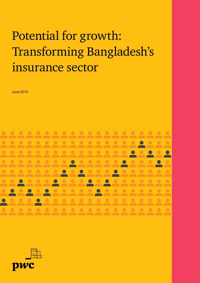# Potential for growth: Transforming Bangladesh's insurance sector

June 2019



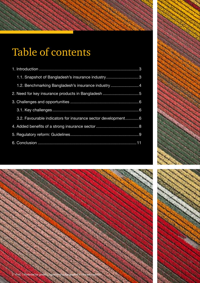# Table of contents

| 1.1. Snapshot of Bangladesh's insurance industry3             |
|---------------------------------------------------------------|
| 1.2. Benchmarking Bangladesh's insurance industry4            |
|                                                               |
|                                                               |
|                                                               |
| 3.2. Favourable indicators for insurance sector development 6 |
|                                                               |
|                                                               |
|                                                               |



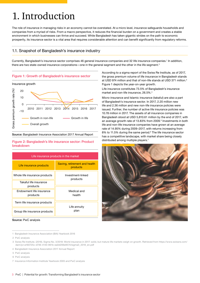## 1. Introduction

The role of insurance in managing risks in an economy cannot be overstated. At a micro level, insurance safeguards households and companies from a myriad of risks. From a macro perspective, it reduces the financial burden on a government and creates a stable environment in which businesses can thrive and succeed. While Bangladesh has taken gigantic strides on the path to economic prosperity, its insurance sector is a vital area that requires considerable attention and can benefit significantly from regulatory reforms.

### 1.1. Snapshot of Bangladesh's insurance industry

Currently, Bangladesh's insurance sector comprises 46 general insurance companies and 32 life insurance companies.' In addition, there are two state-owned insurance corporations—one in the general segment and the other in the life segment.<sup>2</sup>



Source: Bangladesh Insurance Association 2017 Annual Report

#### Figure 2: Bangladesh's life insurance sector: Product breakdown

| Life insurance products in the market |                                           |  |
|---------------------------------------|-------------------------------------------|--|
| Life insurance products               | Saving, retirement and health<br>products |  |
| Whole life insurance products         | Investment-linked<br>products             |  |
| Takaful life insurance<br>products    |                                           |  |
| Endowment life insurance<br>products  | Medical and<br>health                     |  |
| Term life insurance products          | Life annuity                              |  |
| Group life insurance products         | plan                                      |  |

Source: PwC analysis

1 Bangladesh Insurance Association (BIA) Yearbook 2016

According to a sigma report of the Swiss Re Institute, as of 2017, the gross premium volume of life insurance in Bangladesh stands at USD 974 million and that of non-life stands at USD 371 million.3 Figure 1 depicts the year-on-year growth.

Life insurance constitutes 73.5% of Bangladesh's insurance market and non-life insurance, 26.5%.<sup>4</sup>

Micro-insurance and Islamic insurance (takaful) are also a part of Bangladesh's insurance sector. In 2017, 2.20 million new life and 2.36 million and new non-life insurance policies were issued. Further, the number of active life insurance policies was 10.78 million in 2017. The assets of all insurance companies in Bangladesh stood at USD 5,810.61 million by the end of 2017, with an average growth rate of 13.83% from 2009.<sup>5</sup> Investments in both life and non-life insurance companies have grown at an average rate of 14.95% during 2009–2017, with returns increasing from 8% to 11.5% during the same period.<sup>6</sup> The life insurance sector has a competitive landscape, with market share being closely distributed among multiple players.<sup>7</sup>



<sup>2</sup> PwC analysis

<sup>3</sup> Swiss Re Institute. (2018). Sigma No. 3/2018: World insurance in 2017: solid, but mature life markets weigh on growth. Retrieved from https://www.swissre.com/ dam/jcr:a160725c-d746-4140-961b-ea0d206e9574/sigma3\_2018\_en.pdf

<sup>4</sup> Bangladesh Insurance Association 2017 Annual Report

<sup>5</sup> PwC analysis

<sup>6</sup> PwC analysis

<sup>7</sup> Insurance Information Institute Yearbook 2005 and PwC analysis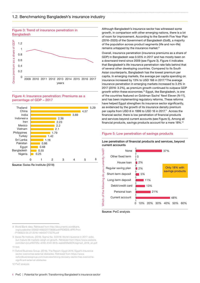

#### Figure 4: Insurance penetration: Premiums as a percentage of GDP – 2017



Source: Swiss Re Institute (2018)

Although Bangladesh's insurance sector has witnessed some growth, in comparison with other emerging nations, there is a lot of room for improvement. According to the Seventh Five Year Plan (2016–2020) of the Government of Bangladesh (GoB), a majority of the population across product segments (life and non-life) remains untapped by the insurance market.<sup>8</sup>

Overall, insurance penetration (insurance premiums as a share of GDP) in Bangladesh was 0.55% in 2017 and has mostly been on a downward trend since 2009 (see Figure 3). Figure 4 indicates that Bangladesh's life insurance penetration rate falls behind that of several other developing countries. Compared to its South Asian counterparts, Bangladesh has the lowest premium per capita. In emerging markets, the average per capita spending on insurance increased by 13% to USD 166 in 2017.<sup>9</sup> The average insurance penetration in emerging markets increased to 3.3% in 2017 (2016: 3.2%), as premium growth continued to outpace GDP growth within these economies.10 Egypt, like Bangladesh, is one of the countries featured on Goldman Sachs' Next Eleven (N-11), and has been implementing regulatory reforms. These reforms have helped Egypt strengthen its insurance sector significantly, as evidenced by the growth of its insurance density premium per capita from USD 8 in 1999 to USD 16 in 2017.11 Across the financial sector, there is low penetration of financial products and services beyond current accounts (see Figure 5). Among all financial products, savings products account for a mere 18%.12

#### Figure 5: Low penetration of savings products

Low penetration of financial products and services, beyond current accounts



Source: PwC analysis

- 8 World Bank data. Retrieved from http://documents.worldbank. org/curated/en/358301468220173696/pdf/PIDISDS-APR-Print -P156823-05-27-2016-1464347172276.pdf
- 9 Swiss Re Institute. (2018). Sigma No. 3/2018: World insurance in 2017: solid, but mature life markets weigh on growth. Retrieved from https://www.swissre. com/dam/jcr:a160725c-d746-4140-961b-ea0d206e9574/sigma3\_2018\_en.pdf 10 Ibid.

11 Oxford Business Group. (2016). The Report: Egypt 2016. Egypt's insurance sector overcomes external obstacles. Retrieved from https://www. oxfordbusinessgroup.com/overview/strong-recovery-sector-has-overcomesignificant-external-obstacles

12 PwC analysis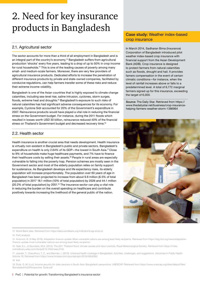## 2. Need for key insurance products in Bangladesh

### 2.1. Agricultural sector

The sector accounts for more than a third of all employment in Bangladesh and is an integral part of the country's economy.13 Bangladesh suffers from agricultural production 'shocks' every five years, leading to a drop of up to 50% in crop income for rural households.<sup>14</sup> This is one of the leading causes of poverty among many small- and medium-scale farmers. Moreover, there are very few providers of agricultural insurance products. Dedicated efforts to increase the penetration of different insurance products by private and state-owned companies, facilitated by conducive regulations, can help farmers transfer some of these risks and reduce their extreme income volatility.

Bangladesh is one of the Asian countries that is highly exposed to climate change calamities, including sea-level rise, saline intrusion, cyclones, storm surges, floods, extreme heat and droughts.15 Bangladesh's exposure to such risks of natural calamities has had significant adverse consequences for its economy. For example, Cyclone Sidr accounted for 20% of the Government's expenditure in 2007. Reinsurance products would have played a vital role in reducing the financial stress on the Government budget. For instance, during the 2011 floods which resulted in losses worth USD 30 billion, reinsurance reduced 40% of the financial stress on Thailand's Government budget and decreased recovery time.<sup>16</sup>

### 2.2. Health sector

Health insurance is another crucial area that needs development. Health insurance is virtually non-existent in Bangladesh's public and private sectors. Bangladesh's expenditure on health is only 2.64% of its GDP―the lowest in South Asia.17 Close to 9% of households make huge healthcare payments, and 7% have to finance their healthcare costs by selling their assets.18 People in rural areas are especially vulnerable to falling into the poverty trap. Pension schemes are mostly seen in the Government sector and most of the elderly population relies on family support for sustenance. As Bangladesh develops and life expectancy rises, its elderly population will increase proportionately. The population over 60 years of age in Bangladesh has been projected to increase from about 9.8 million (6.5% of total population) in 2017 18.1 million (10% of total population) by 2026 and 44.1 million (20.2% of total population) by 2051.<sup>19</sup> The insurance sector can play a vital role in reducing the burden on the overall spending on healthcare and contribute positively towards increasing the livelihood of the general public of the nation.

### Case study: Weather index-based crop insurance

In March 2014, Sadharan Bima (Insurance) Corporation of Bangladesh introduced pilot weather index-based crop insurance with financial support from the Asian Development Bank (ADB). Crop insurance is designed to protect farmers from natural calamities such as floods, drought and hail. It provides famers compensation in the event of certain climatic conditions—for instance, when the level of rainfall increases above or falls to a predetermined level. A total of 6,772 marginal farmers signed up for this insurance, exceeding the target of 6,000.

Source: The Daily Star. Retrieved from https:// www.thedailystar.net/business/crop-insurancehelping-farmers-weather-storm-1386964



#### 18 Ibid.

<sup>13</sup> World Bank data. Retrieved from https://data.worldbank.org/indicator/sl.agr.empl.zs

<sup>14</sup> PwC analysis

<sup>15</sup> Antonich, B. (9 May 2019). Adaptation finance update: Most vulnerable nations are among least likely recipients. Retrieved from https://sdg.iisd.org/news/adaptationfinance-update-most-vulnerable-nations-are-among-least-likely-recipients/

<sup>16</sup> Gale, E.L., & Saunders, M.A. (2013). The 2011 Thailand flood: climate causes and return periods. Royal Meteorological Society. Retrieved from https://rmets. onlinelibrary.wiley.com/doi/pdf/10.1002/wea.2133

<sup>17</sup> Joarder, T., Chaudhury, T. Z., and Mannan, I. (2019). Universal health coverage in Bangladesh: Activities, challenges, and suggestions. Advances in Public Health Volume 19. Retrieved from https://www.hindawi.com/journals/aph/2019/4954095/

<sup>19</sup> Dulal, G. M. (n.d.). Income security for older persons in South Asia: Bangladesh perspective. UNESCAP. Retrieved from https://www.unescap.org/sites/default/files/ Bangladesh%20Perspective\_Dulal.pdf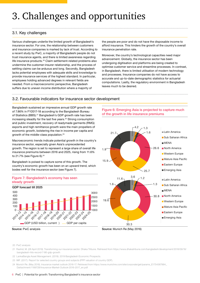## 3. Challenges and opportunities

### 3.1. Key challenges

Various challenges underlie the limited growth of Bangladesh's insurance sector. For one, the relationship between customers and insurance companies is marked by lack of trust. According to a recent study by PwC, a majority of Bangladeshi people do not trust insurance agents, and there is limited awareness regarding life insurance products.<sup>20</sup> Claim settlement-related problems also undermine the customer-insurer relationship, and the process of settling claims can be arduous and long. Secondly, Bangladesh lacks potential employees with adequate skills and knowledge to provide insurance services of the highest standard. In particular, employees holding advanced degrees in relevant fields are needed. From a macroeconomic perspective, Bangladesh suffers due to uneven income distribution where a majority of

the people are poor and do not have the disposable income to afford insurance. This hinders the growth of the country's overall insurance penetration rate.

Moreover, the country's technological capacities need major advancement. Globally, the insurance sector has been undergoing digitisation and platforms are being created to optimise customer service and streamline processes. In contrast, in Bangladesh, there is limited utilisation of modern technology and processes. Insurance companies do not have access to accurate and up-to-date demographic statistics for actuarial computations. Lastly, the regulatory environment in Bangladesh leaves much to be desired.

#### 3.2. Favourable indicators for insurance sector development

Bangladesh sustained an impressive annual GDP growth rate of 7.86% in FY2017-18 according to the Bangladesh Bureau of Statistics (BBS).<sup>21</sup> Bangladesh's GDP growth rate has been increasing steadily for the last five years.<sup>22</sup> Strong consumption and public investment, recovery of readymade garments (RMG) exports and high remittance growth were the main propellers of economic growth, bolstering the rise in income per capita and growth of the middle-class population.23

Macroeconomic trends indicate potential growth in the country's insurance sector, especially given Asia's unprecedented growth. The region is set to represent a large share of overall life insurance premiums between 2016 and 2025, rising from 11.6% to 21.7% (see Figure 6).<sup>24</sup>

Bangladesh is poised to capture some of this growth. The country's economic growth has been on an upward trend, which bodes well for the insurance sector (see Figure 7).





Source: PwC analysis

#### Figure 6: Emerging Asia is projected to capture much of the growth in life insurance premiums



Source: Munich Re (May 2016)

- 20 PwC analysis
- 21 Rashid, M. (28 April 2019). Transforming our insurance sector. Dhaka Tribune. Retrieved from https://www.dhakatribune.com/bangladesh/development/2018/09/18/ bangladesh-hits-record-7-86-gdp-growth
- 22 LankaBangla Asset Management. (2019). 2019 Bangladesh Economic Prospects.
- 23 IMF. (2017). Report for selected country groups and subjects (PPP valuation of country GDP).
- 24 Munich Re. (May 2016). Insurance market outlook 2016-17. Retrieved from https://www.munichre.com/site/corporate/get/params\_E1754367884\_ Dattachment/1189728/Insurance-Market-Outlook-2016-2017\_en.pdf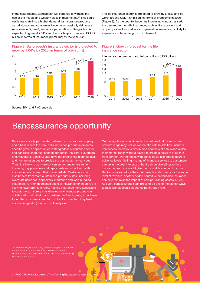In the next decade, Bangladesh will continue to witness the rise of the middle and wealthy class in major cities.<sup>25</sup> This could easily translate into a higher demand for insurance products as individuals and companies become increasingly risk aware. As shown in Figure 8, insurance penetration in Bangladesh is expected to grow at 7.04% and be worth approximately USD 2.2 billion (in terms of insurance premiums) by the year 2020.

The life insurance sector is projected to grow by 6.45% and be worth around USD 1.64 billion (in terms of premiums) in 2020 (Figure 9). As the country becomes increasingly industrialised, the demand for non-life insurance, such as fire, accident and property as well as workers' compensation insurance, is likely to experience substantial growth in demand.

Figure 8: Bangladesh's insurance sector is projected to grow by 7.04% by 2020 (in terms of premiums)



Figure 9: Growth forecast for the life insurance sector



Source: BMI and PwC analysis

### Bancassurance opportunity

Bancassurance (a partnership between an insurance company and a bank where the bank sells insurance products) presents specific growth opportunities in Bangladesh's insurance sector and can result in mutual benefits for banks, insurers, customers and regulators. Banks usually have the preexisting technological and human resources to provide the best customer services. Thus, it is likely to be more convenient for customers to, for instance, pay premiums and repay cash loans backed by life insurance policies from their banks' ATMs. Customers could also benefit from more customised product suites, including overdraft insurance, depositors' insurance and loan-bundled insurance. Further, decreased costs of insurance for insurers are likely to lower premium rates, making insurance more accessible to customers. Insurers may develop new financial products in collaboration with their bank partners. In Bangladesh, it has been found that customers tend to trust banks more than they trust insurance agents. (Source: PwC analysis)

On the regulatory side, financial institutions that diversify their product range may reduce systematic risk. In addition, insurers can access the various distribution channels of banks and widen their market reach without having to create a network of agents from scratch. Partnerships with banks could also boost insurers' solvency levels. Selling a range of financial services to customers can be in the best interests of banks since diversification into insurance products would give them a stable source of income. Banks can also reduce their risk-based capital needs for the same level of revenue. Another added benefit is that bundled insurance can help minimise the impact of non-performing assets (NPAs). As such, bancassurance can prove to be one of the fastest ways to raise Bangladesh's insurance penetration rate.

25 Rashid, M. (28 April 2019). Transforming our insurance sector. Dhaka Tribune. Retrieved from https://www. dhakatribune.com/opinion/op-ed/2019/04/28/transformingour-insurance-sector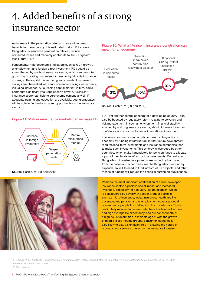## 4. Added benefits of a strong insurance sector

An increase in the penetration rate can create widespread benefits for the economy. It is estimated that a 1% increase in Bangladesh's insurance penetration rate can reduce uninsured losses and markedly contribute to its GDP growth (see Figure 10).<sup>26</sup>

Fundamental macroeconomic indicators such as GDP growth, unemployment and foreign direct investment (FDI) could be strengthened by a robust insurance sector, which can promote growth by providing guaranteed access to liquidity via insurance coverage. The capital market can greatly benefit if increased savings are channelled into various financial savings instruments, including insurance. A flourishing capital market, in turn, could contribute significantly to Bangladesh's growth. A resilient insurance sector can help to curb unemployment as well. If adequate training and education are available, young graduates will be able to find various career opportunities in the insurance sector.

#### Figure 11: Mature reinsurance markets can increase FDI



Source: Rashid, M. (28 April 2019)



#### Figure 10: What a 1% rise in insurance penetration can mean for an economy



#### Source: Rashid, M. (28 April 2019)

FDI—yet another central concern for a developing country—can also be boosted by regulatory reform relating to solvency and risk management. In such an environment, financial stability, enabled by a strong insurance sector, should increase investors' confidence and attract substantial international investment.

The insurance sector can contribute towards Bangladesh's economy by funding infrastructure. Infrastructure development requires long-term investments and insurance companies tend to make such investments. This synergy is leveraged by other countries, which make it mandatory for pension funds to allocate a part of their funds to infrastructure investments. Currently, in Bangladesh, infrastructure projects are funded by borrowing from the public and other measures. As Bangladesh's economy expands, so will its need to fund infrastructure projects, and other means of funding will reduce the financial burden on public funds.

Perhaps the most important contribution of a well-developed insurance sector is positive social impact and increased livelihood, especially for a country like Bangladesh, which is beleaguered by poverty. A deeper product portfolio such as micro-insurance, index insurance, health and life coverage, and pension and unemployment coverage would prevent many people from falling into the poverty trap. This is particularly relevant for women who have low levels of income and high average life expectancy, and are consequently at a high risk of destitution in their old age.<sup>27</sup> With the growth of middle-class income groups, consumer insurance is also likely to play a significant role in shaping the nature of products and services offered by the insurance industry.

<sup>26</sup> Rashid, M. (28 April 2019). Transforming our insurance sector. Dhaka Tribune. Retrieved from https://www.dhakatribune.com/opinion/op-ed/2019/04/28/ transforming-our-insurance-sector

<sup>27</sup> PwC analysis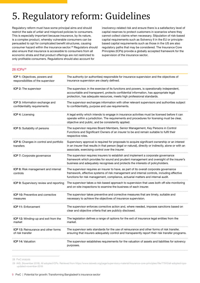## 5. Regulatory reform: Guidelines

Regulatory reform must have some principal aims and should restrict the sale of unfair and mispriced policies to consumers. This is especially important because insurance, by its nature, is a complex product, whereby vulnerable consumers can be persuaded to opt for complicated benefit structures, causing consumer hazard within the insurance sector.28 Regulators should also ensure that insurance is accessible to consumers from all economic strata and that product offerings are not restricted to only profitable consumers. Regulations should also account for

insolvency-related risk and ensure there is a satisfactory level of capital reserves to protect customers in scenarios where they cannot collect claims when necessary. Stipulation of risk-based capital requirements such as Solvency II in the EU or principlebased capital requirements such as those in the US are also regulatory paths that may be considered. The Insurance Core Principles (ICPs) provide a globally accepted framework for the supervision of the insurance sector.

| 26 ICPs <sup>29</sup>                                               |                                                                                                                                                                                                                                                                           |
|---------------------------------------------------------------------|---------------------------------------------------------------------------------------------------------------------------------------------------------------------------------------------------------------------------------------------------------------------------|
| ICP 1: Objectives, powers and<br>responsibilities of the supervisor | The authority (or authorities) responsible for insurance supervision and the objectives of<br>insurance supervision are clearly defined.                                                                                                                                  |
| ICP 2: The supervisor                                               | The supervisor, in the exercise of its functions and powers, is operationally independent,<br>accountable and transparent, protects confidential information, has appropriate legal<br>protection, has adequate resources, meets high professional standards.             |
| ICP 3: Information exchange and<br>confidentiality requirements     | The supervisor exchanges information with other relevant supervisors and authorities subject<br>to confidentiality, purpose and use requirements.                                                                                                                         |
| <b>ICP 4: Licensing</b>                                             | A legal entity which intends to engage in insurance activities must be licensed before it can<br>operate within a jurisdiction. The requirements and procedures for licensing must be clear,<br>objective and public, and be consistently applied.                        |
| ICP 5: Suitability of persons                                       | The supervisor requires Board Members, Senior Management, Key Persons in Control<br>Functions and Significant Owners of an insurer to be and remain suitable to fulfil their<br>respective roles.                                                                         |
| ICP 6: Changes in control and portfolio<br>transfers                | Supervisory approval is required for proposals to acquire significant ownership or an interest<br>in an insurer that results in that person (legal or natural), directly or indirectly, alone or with an<br>associate, exercising control over the insurer.               |
| ICP 7: Corporate governance                                         | The supervisor requires insurers to establish and implement a corporate governance<br>framework which provides for sound and prudent management and oversight of the insurer's<br>business and adequately recognises and protects the interests of policyholders.         |
| ICP 8: Risk management and internal<br>controls                     | The supervisor requires an insurer to have, as part of its overall corporate governance<br>framework, effective systems of risk management and internal controls, including effective<br>functions for risk management, compliance, actuarial matters and internal audit. |
| ICP 9: Supervisory review and reporting                             | The supervisor takes a risk-based approach to supervision that uses both off-site monitoring<br>and on-site inspections to examine the business of each insurer.                                                                                                          |
| <b>ICP 10: Preventive and corrective</b><br>measures                | The supervisor takes preventive and corrective measures that are timely, suitable and<br>necessary to achieve the objectives of insurance supervision.                                                                                                                    |
| <b>ICP 11: Enforcement</b>                                          | The supervisor enforces corrective action and, where needed, imposes sanctions based on<br>clear and objective criteria that are publicly disclosed.                                                                                                                      |
| <b>ICP 12:</b> Winding-up and exit from the<br>market               | The legislation defines a range of options for the exit of insurance legal entities from the<br>market.                                                                                                                                                                   |
| <b>ICP 13: Reinsurance and other forms</b><br>of risk transfer      | The supervisor sets standards for the use of reinsurance and other forms of risk transfer,<br>ensuring that insurers adequately control and transparently report their risk transfer programs.                                                                            |
| <b>ICP 14: Valuation</b>                                            | The supervisor establishes requirements for the valuation of assets and liabilities for solvency<br>purposes.                                                                                                                                                             |

<sup>28</sup> PwC analysis

<sup>29</sup> IAIS. (November 2018). All adopted ICPs. Retrieved from https://www.iaisweb.org/page/supervisory-material/insurance-core-principles//file/77910/all-adopted-icpsupdated-november-2018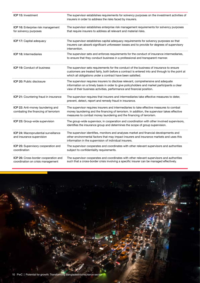| ICP 15: Investment                                                        | The supervisor establishes requirements for solvency purposes on the investment activities of<br>insurers in order to address the risks faced by insurers.                                                                                                      |
|---------------------------------------------------------------------------|-----------------------------------------------------------------------------------------------------------------------------------------------------------------------------------------------------------------------------------------------------------------|
| ICP 16: Enterprise risk management<br>for solvency purposes               | The supervisor establishes enterprise risk management requirements for solvency purposes<br>that require insurers to address all relevant and material risks.                                                                                                   |
| <b>ICP 17: Capital adequacy</b>                                           | The supervisor establishes capital adequacy requirements for solvency purposes so that<br>insurers can absorb significant unforeseen losses and to provide for degrees of supervisory<br>intervention.                                                          |
| ICP 18: Intermediaries                                                    | The supervisor sets and enforces requirements for the conduct of insurance intermediaries,<br>to ensure that they conduct business in a professional and transparent manner.                                                                                    |
| <b>ICP 19: Conduct of business</b>                                        | The supervisor sets requirements for the conduct of the business of insurance to ensure<br>customers are treated fairly, both before a contract is entered into and through to the point at<br>which all obligations under a contract have been satisfied.      |
| <b>ICP 20: Public disclosure</b>                                          | The supervisor requires insurers to disclose relevant, comprehensive and adequate<br>information on a timely basis in order to give policyholders and market participants a clear<br>view of their business activities, performance and financial position.     |
| ICP 21: Countering fraud in insurance                                     | The supervisor requires that insurers and intermediaries take effective measures to deter,<br>prevent, detect, report and remedy fraud in insurance.                                                                                                            |
| ICP 22: Anti-money laundering and<br>combating the financing of terrorism | The supervisor requires insurers and intermediaries to take effective measures to combat<br>money laundering and the financing of terrorism. In addition, the supervisor takes effective<br>measures to combat money laundering and the financing of terrorism. |
| ICP 23: Group-wide supervision                                            | The group-wide supervisor, in cooperation and coordination with other involved supervisors,<br>identifies the insurance group and determines the scope of group supervision.                                                                                    |
| ICP 24: Macroprudential surveillance<br>and insurance supervision         | The supervisor identifies, monitors and analyses market and financial developments and<br>other environmental factors that may impact insurers and insurance markets and uses this<br>information in the supervision of individual insurers.                    |
| ICP 25: Supervisory cooperation and<br>coordination                       | The supervisor cooperates and coordinates with other relevant supervisors and authorities<br>subject to confidentiality requirements.                                                                                                                           |
| ICP 26: Cross-border cooperation and<br>coordination on crisis management | The supervisor cooperates and coordinates with other relevant supervisors and authorities<br>such that a cross-border crisis involving a specific insurer can be managed effectively.                                                                           |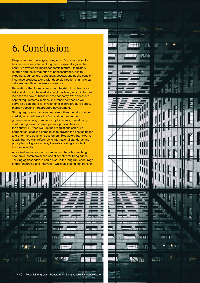### 6. Conclusion

Despite various challenges, Bangladesh's insurance sector has tremendous potential for growth, especially given the country's favourable macroeconomic picture. Regulatory reforms and the introduction of bancassurance, health, expatriate, agriculture, education, coastal, and public pension insurance products along with deep distribution channels can catalyse growth in the insurance sector.

Regulations that focus on reducing the risk of insolvency can help build trust in the market at a global level, which in turn will increase the flow of funds into the economy. With adequate capital requirements in place, insurance companies will serve as a safeguard for investments in infrastructure bonds, thereby boosting infrastructure development.

Strong regulations can also help strengthen the reinsurance market, which will ease the financial burden on the government arising from catastrophic events, thus directly contributing towards development opportunities for the country. Further, well-defined regulations can drive competition, enabling companies to provide the best solutions and offer more options to customers. Regulatory frameworks, ideally framed with reference to international standards and principles, will go a long way towards creating a resilient insurance sector.

A resilient insurance sector can, in turn, have far-reaching economic, commercial and social benefits for Bangladesh. Thriving against odds, it could also, in the long run, encourage entrepreneurship and innovation while facilitating risk transfer.













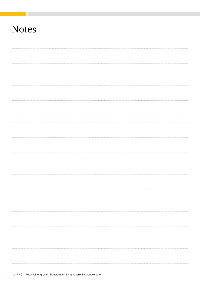## **Notes**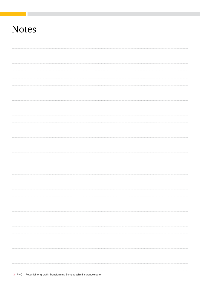## **Notes**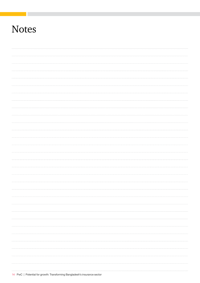## **Notes**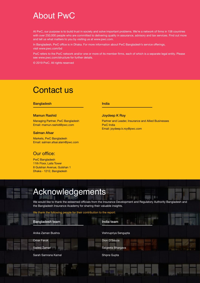### About PwC

At PwC, our purpose is to build trust in society and solve important problems. We're a network of firms in 158 countries with over 250,000 people who are committed to delivering quality in assurance, advisory and tax services. Find out more and tell us what matters to you by visiting us at www.pwc.com.

In Bangladesh, PwC office is in Dhaka. For more information about PwC Bangladesh's service offerings, visit www.pwc.com/bd

PwC refers to the PwC network and/or one or more of its member firms, each of which is a separate legal entity. Please see www.pwc.com/structure for further details.

© 2019 PwC. All rights reserved

### Contact us

#### Bangladesh **India India**

#### Mamun Rashid

Managing Partner, PwC Bangladesh Email: mamun.rashid@pwc.com

#### Salman Afsar

Markets, PwC Bangladesh Email: salman.afsar.alam@pwc.com

### Our office:

PwC Bangladesh 11th Floor, Laila Tower 8 Gulshan Avenue, Gulshan 1 Dhaka - 1212, Bangladesh

 $15$  PwC  $\sim$  PwC  $\sim$  PwC  $\sim$  Transformation Bangladesh insurance sector sector sector sector sector sector sector

#### Joydeep K Roy

Partner and Leader, Insurance and Allied Businesses PwC India Email: joydeep.k.roy@pwc.com

外部

### Acknowledgements

We would like to thank the esteemed officials from the Insurance Development and Regulatory Authority Bangladesh and the Bangladesh Insurance Academy for sharing their valuable insights.

#### We thank the following people for their contribution to the report:

| Bangladesh team     | India team           |
|---------------------|----------------------|
| Anika Zaman Bushra  | Vishnupriya Sengupta |
| Omar Faruk          | Dion D'Souza         |
| Sadeq Zaman         | Saigeeta Bhargava    |
| Sarah Samrana Kamal | Shipra Gupta         |
|                     |                      |